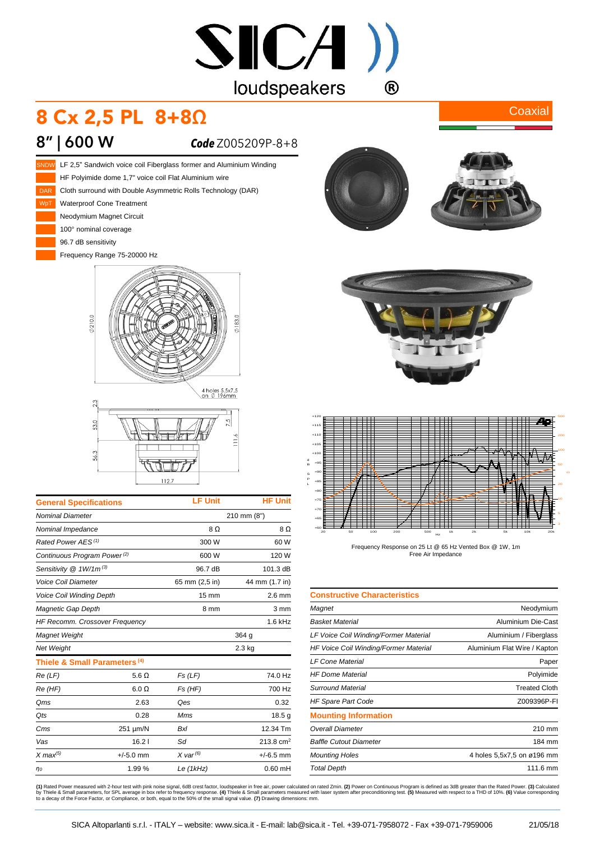

## 8 Cx 2,5 PL 8+8Ω

## **8" | 600 W** *Code* Z005209P-8+8







| <b>General Specifications</b>            |              | <b>LF Unit</b>   | <b>HF Unit</b>   |
|------------------------------------------|--------------|------------------|------------------|
| <b>Nominal Diameter</b>                  |              | 210 mm (8")      |                  |
| Nominal Impedance                        |              | 8Ω               | 8Ω               |
| Rated Power AES <sup>(1)</sup>           |              | 300 W            | 60 W             |
| Continuous Program Power <sup>(2)</sup>  |              | 600 W            | 120 W            |
| Sensitivity @ 1W/1m <sup>(3)</sup>       |              | 96.7 dB          | 101.3 dB         |
| <b>Voice Coil Diameter</b>               |              | 65 mm (2,5 in)   | 44 mm (1.7 in)   |
| <b>Voice Coil Winding Depth</b>          |              | 15 mm            | $2.6 \text{ mm}$ |
| Magnetic Gap Depth                       |              | 8 mm             | 3 mm             |
| <b>HF Recomm. Crossover Frequency</b>    |              |                  | $1.6$ kHz        |
| Magnet Weight                            |              | 364 g            |                  |
| <b>Net Weight</b>                        |              | $2.3$ kg         |                  |
| Thiele & Small Parameters <sup>(4)</sup> |              |                  |                  |
| Re(LF)                                   | $5.6 \Omega$ | Fs(LF)           | 74.0 Hz          |
| Re (HF)                                  | $6.0 \Omega$ | Fs (HF)          | 700 Hz           |
| Qms                                      | 2.63         | Qes              | 0.32             |
| Qts                                      | 0.28         | Mms              | 18.5g            |
| Cms                                      | 251 µm/N     | <b>Bxl</b>       | 12.34 Tm         |
| Vas                                      | 16.21        | Sd               | 213.8 $cm2$      |
| $X$ max $^{(5)}$                         | $+/-5.0$ mm  | $X$ var $^{(6)}$ | $+/-6.5$ mm      |
| $\eta$ o                                 | 1.99%        | Le (1kHz)        | $0.60$ mH        |



**Coaxial** 





Frequency Response on 25 Lt @ 65 Hz Vented Box @ 1W, 1m Free Air Impedance

| <b>Constructive Characteristics</b>   |                              |
|---------------------------------------|------------------------------|
| Magnet                                | Neodymium                    |
| Basket Material                       | Aluminium Die-Cast           |
| LF Voice Coil Winding/Former Material | Aluminium / Fiberglass       |
| HF Voice Coil Winding/Former Material | Aluminium Flat Wire / Kapton |
| LF Cone Material                      | Paper                        |
| <b>HF Dome Material</b>               | Polyimide                    |
| Surround Material                     | <b>Treated Cloth</b>         |
| <b>HF Spare Part Code</b>             | Z009396P-FI                  |
| <b>Mounting Information</b>           |                              |
| Overall Diameter                      | 210 mm                       |
| <b>Baffle Cutout Diameter</b>         | 184 mm                       |
| <b>Mounting Holes</b>                 | 4 holes 5,5x7,5 on ø196 mm   |
| <b>Total Depth</b>                    | 111.6 mm                     |

**(1)** Rated Power measured with 2-hour test with pink noise signal, 6dB crest factor, loudspeaker in free air, power calculated on rated 2min. **(2)** Power on Continuous Program is defined as 3dB greater than the Rated Powe